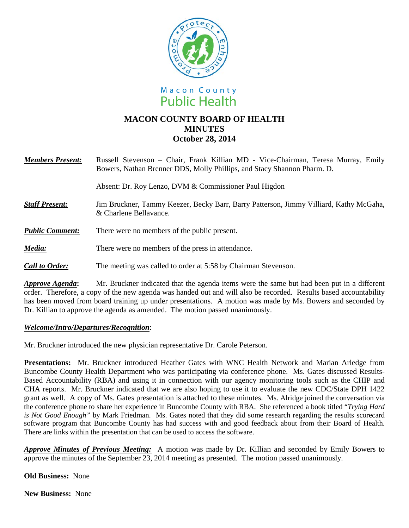



# **MACON COUNTY BOARD OF HEALTH MINUTES October 28, 2014**

| <b>Members Present:</b> | Russell Stevenson – Chair, Frank Killian MD - Vice-Chairman, Teresa Murray, Emily<br>Bowers, Nathan Brenner DDS, Molly Phillips, and Stacy Shannon Pharm. D. |
|-------------------------|--------------------------------------------------------------------------------------------------------------------------------------------------------------|
|                         | Absent: Dr. Roy Lenzo, DVM & Commissioner Paul Higdon                                                                                                        |
| <b>Staff Present:</b>   | Jim Bruckner, Tammy Keezer, Becky Barr, Barry Patterson, Jimmy Villiard, Kathy McGaha,<br>& Charlene Bellavance.                                             |
| <b>Public Comment:</b>  | There were no members of the public present.                                                                                                                 |
| Media:                  | There were no members of the press in attendance.                                                                                                            |
| <b>Call to Order:</b>   | The meeting was called to order at 5:58 by Chairman Stevenson.                                                                                               |
| Annrove Agenda:         | Mr. Bruckner indicated that the agenda items were the same but had been put in a different                                                                   |

kner indicated that the agenda items were the same but had been put in a different order. Therefore, a copy of the new agenda was handed out and will also be recorded. Results based accountability has been moved from board training up under presentations. A motion was made by Ms. Bowers and seconded by Dr. Killian to approve the agenda as amended. The motion passed unanimously.

## *Welcome/Intro/Departures/Recognition*:

Mr. Bruckner introduced the new physician representative Dr. Carole Peterson.

**Presentations:** Mr. Bruckner introduced Heather Gates with WNC Health Network and Marian Arledge from Buncombe County Health Department who was participating via conference phone. Ms. Gates discussed Results-Based Accountability (RBA) and using it in connection with our agency monitoring tools such as the CHIP and CHA reports. Mr. Bruckner indicated that we are also hoping to use it to evaluate the new CDC/State DPH 1422 grant as well. A copy of Ms. Gates presentation is attached to these minutes. Ms. Alridge joined the conversation via the conference phone to share her experience in Buncombe County with RBA. She referenced a book titled "*Trying Hard is Not Good Enough"* by Mark Friedman. Ms. Gates noted that they did some research regarding the results scorecard software program that Buncombe County has had success with and good feedback about from their Board of Health. There are links within the presentation that can be used to access the software.

*Approve Minutes of Previous Meeting:* A motion was made by Dr. Killian and seconded by Emily Bowers to approve the minutes of the September 23, 2014 meeting as presented. The motion passed unanimously.

## **Old Business:** None

**New Business:** None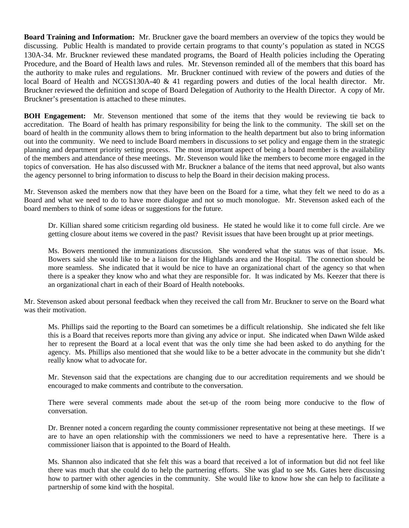**Board Training and Information:** Mr. Bruckner gave the board members an overview of the topics they would be discussing. Public Health is mandated to provide certain programs to that county's population as stated in NCGS 130A-34. Mr. Bruckner reviewed these mandated programs, the Board of Health policies including the Operating Procedure, and the Board of Health laws and rules. Mr. Stevenson reminded all of the members that this board has the authority to make rules and regulations. Mr. Bruckner continued with review of the powers and duties of the local Board of Health and NCGS130A-40 & 41 regarding powers and duties of the local health director. Mr. Bruckner reviewed the definition and scope of Board Delegation of Authority to the Health Director. A copy of Mr. Bruckner's presentation is attached to these minutes.

**BOH Engagement:** Mr. Stevenson mentioned that some of the items that they would be reviewing tie back to accreditation. The Board of health has primary responsibility for being the link to the community. The skill set on the board of health in the community allows them to bring information to the health department but also to bring information out into the community. We need to include Board members in discussions to set policy and engage them in the strategic planning and department priority setting process. The most important aspect of being a board member is the availability of the members and attendance of these meetings. Mr. Stevenson would like the members to become more engaged in the topics of conversation. He has also discussed with Mr. Bruckner a balance of the items that need approval, but also wants the agency personnel to bring information to discuss to help the Board in their decision making process.

Mr. Stevenson asked the members now that they have been on the Board for a time, what they felt we need to do as a Board and what we need to do to have more dialogue and not so much monologue. Mr. Stevenson asked each of the board members to think of some ideas or suggestions for the future.

Dr. Killian shared some criticism regarding old business. He stated he would like it to come full circle. Are we getting closure about items we covered in the past? Revisit issues that have been brought up at prior meetings.

Ms. Bowers mentioned the immunizations discussion. She wondered what the status was of that issue. Ms. Bowers said she would like to be a liaison for the Highlands area and the Hospital. The connection should be more seamless. She indicated that it would be nice to have an organizational chart of the agency so that when there is a speaker they know who and what they are responsible for. It was indicated by Ms. Keezer that there is an organizational chart in each of their Board of Health notebooks.

Mr. Stevenson asked about personal feedback when they received the call from Mr. Bruckner to serve on the Board what was their motivation.

Ms. Phillips said the reporting to the Board can sometimes be a difficult relationship. She indicated she felt like this is a Board that receives reports more than giving any advice or input. She indicated when Dawn Wilde asked her to represent the Board at a local event that was the only time she had been asked to do anything for the agency. Ms. Phillips also mentioned that she would like to be a better advocate in the community but she didn't really know what to advocate for.

Mr. Stevenson said that the expectations are changing due to our accreditation requirements and we should be encouraged to make comments and contribute to the conversation.

There were several comments made about the set-up of the room being more conducive to the flow of conversation.

Dr. Brenner noted a concern regarding the county commissioner representative not being at these meetings. If we are to have an open relationship with the commissioners we need to have a representative here. There is a commissioner liaison that is appointed to the Board of Health.

Ms. Shannon also indicated that she felt this was a board that received a lot of information but did not feel like there was much that she could do to help the partnering efforts. She was glad to see Ms. Gates here discussing how to partner with other agencies in the community. She would like to know how she can help to facilitate a partnership of some kind with the hospital.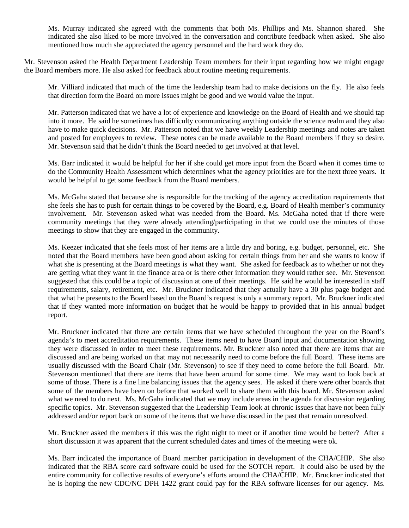Ms. Murray indicated she agreed with the comments that both Ms. Phillips and Ms. Shannon shared. She indicated she also liked to be more involved in the conversation and contribute feedback when asked. She also mentioned how much she appreciated the agency personnel and the hard work they do.

Mr. Stevenson asked the Health Department Leadership Team members for their input regarding how we might engage the Board members more. He also asked for feedback about routine meeting requirements.

Mr. Villiard indicated that much of the time the leadership team had to make decisions on the fly. He also feels that direction form the Board on more issues might be good and we would value the input.

Mr. Patterson indicated that we have a lot of experience and knowledge on the Board of Health and we should tap into it more. He said he sometimes has difficulty communicating anything outside the science realm and they also have to make quick decisions. Mr. Patterson noted that we have weekly Leadership meetings and notes are taken and posted for employees to review. These notes can be made available to the Board members if they so desire. Mr. Stevenson said that he didn't think the Board needed to get involved at that level.

Ms. Barr indicated it would be helpful for her if she could get more input from the Board when it comes time to do the Community Health Assessment which determines what the agency priorities are for the next three years. It would be helpful to get some feedback from the Board members.

Ms. McGaha stated that because she is responsible for the tracking of the agency accreditation requirements that she feels she has to push for certain things to be covered by the Board, e.g. Board of Health member's community involvement. Mr. Stevenson asked what was needed from the Board. Ms. McGaha noted that if there were community meetings that they were already attending/participating in that we could use the minutes of those meetings to show that they are engaged in the community.

Ms. Keezer indicated that she feels most of her items are a little dry and boring, e.g. budget, personnel, etc. She noted that the Board members have been good about asking for certain things from her and she wants to know if what she is presenting at the Board meetings is what they want. She asked for feedback as to whether or not they are getting what they want in the finance area or is there other information they would rather see. Mr. Stevenson suggested that this could be a topic of discussion at one of their meetings. He said he would be interested in staff requirements, salary, retirement, etc. Mr. Bruckner indicated that they actually have a 30 plus page budget and that what he presents to the Board based on the Board's request is only a summary report. Mr. Bruckner indicated that if they wanted more information on budget that he would be happy to provided that in his annual budget report.

Mr. Bruckner indicated that there are certain items that we have scheduled throughout the year on the Board's agenda's to meet accreditation requirements. These items need to have Board input and documentation showing they were discussed in order to meet these requirements. Mr. Bruckner also noted that there are items that are discussed and are being worked on that may not necessarily need to come before the full Board. These items are usually discussed with the Board Chair (Mr. Stevenson) to see if they need to come before the full Board. Mr. Stevenson mentioned that there are items that have been around for some time. We may want to look back at some of those. There is a fine line balancing issues that the agency sees. He asked if there were other boards that some of the members have been on before that worked well to share them with this board. Mr. Stevenson asked what we need to do next. Ms. McGaha indicated that we may include areas in the agenda for discussion regarding specific topics. Mr. Stevenson suggested that the Leadership Team look at chronic issues that have not been fully addressed and/or report back on some of the items that we have discussed in the past that remain unresolved.

Mr. Bruckner asked the members if this was the right night to meet or if another time would be better? After a short discussion it was apparent that the current scheduled dates and times of the meeting were ok.

Ms. Barr indicated the importance of Board member participation in development of the CHA/CHIP. She also indicated that the RBA score card software could be used for the SOTCH report. It could also be used by the entire community for collective results of everyone's efforts around the CHA/CHIP. Mr. Bruckner indicated that he is hoping the new CDC/NC DPH 1422 grant could pay for the RBA software licenses for our agency. Ms.